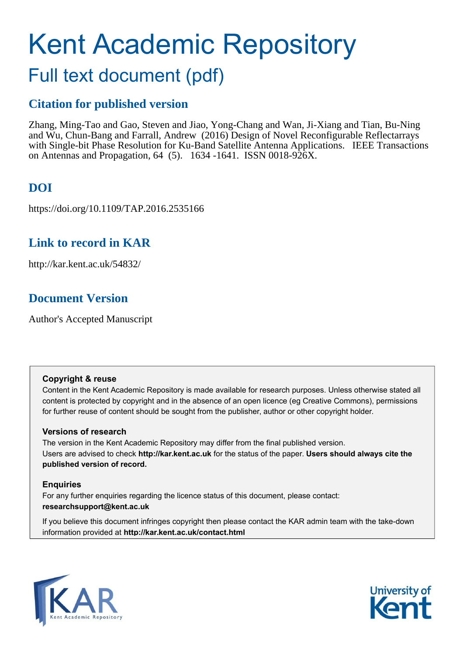# Kent Academic Repository

# Full text document (pdf)

## **Citation for published version**

Zhang, Ming-Tao and Gao, Steven and Jiao, Yong-Chang and Wan, Ji-Xiang and Tian, Bu-Ning and Wu, Chun-Bang and Farrall, Andrew (2016) Design of Novel Reconfigurable Reflectarrays with Single-bit Phase Resolution for Ku-Band Satellite Antenna Applications. IEEE Transactions on Antennas and Propagation, 64 (5). 1634 -1641. ISSN 0018-926X.

# **DOI**

https://doi.org/10.1109/TAP.2016.2535166

### **Link to record in KAR**

http://kar.kent.ac.uk/54832/

### **Document Version**

Author's Accepted Manuscript

#### **Copyright & reuse**

Content in the Kent Academic Repository is made available for research purposes. Unless otherwise stated all content is protected by copyright and in the absence of an open licence (eg Creative Commons), permissions for further reuse of content should be sought from the publisher, author or other copyright holder.

#### **Versions of research**

The version in the Kent Academic Repository may differ from the final published version. Users are advised to check **http://kar.kent.ac.uk** for the status of the paper. **Users should always cite the published version of record.**

#### **Enquiries**

For any further enquiries regarding the licence status of this document, please contact: **researchsupport@kent.ac.uk**

If you believe this document infringes copyright then please contact the KAR admin team with the take-down information provided at **http://kar.kent.ac.uk/contact.html**



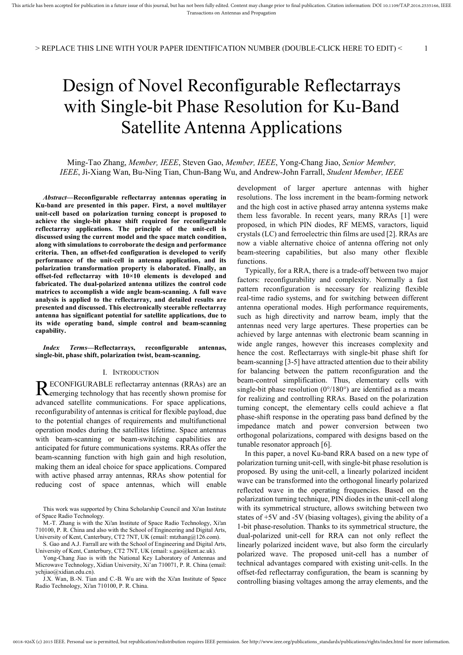# Design of Novel Reconfigurable Reflectarrays with Single-bit Phase Resolution for Ku-Band Satellite Antenna Applications

#### Ming-Tao Zhang, *Member, IEEE*, Steven Gao, *Member, IEEE*, Yong-Chang Jiao, *Senior Member, IEEE*, Ji-Xiang Wan, Bu-Ning Tian, Chun-Bang Wu, and Andrew-John Farrall, *Student Member, IEEE*

*Abstract***—Reconfigurable reflectarray antennas operating in Ku-band are presented in this paper. First, a novel multilayer unit-cell based on polarization turning concept is proposed to achieve the single-bit phase shift required for reconfigurable reflectarray applications. The principle of the unit-cell is discussed using the current model and the space match condition, along with simulations to corroborate the design and performance criteria. Then, an offset-fed configuration is developed to verify performance of the unit-cell in antenna application, and its polarization transformation property is elaborated. Finally, an offset-fed reflectarray with 10×10 elements is developed and fabricated. The dual-polarized antenna utilizes the control code matrices to accomplish a wide angle beam-scanning. A full wave analysis is applied to the reflectarray, and detailed results are presented and discussed. This electronically steerable reflectarray antenna has significant potential for satellite applications, due to its wide operating band, simple control and beam-scanning capability.** 

*Index Terms***—Reflectarrays, reconfigurable antennas, single-bit, phase shift, polarization twist, beam-scanning.** 

#### I. INTRODUCTION

ECONFIGURABLE reflectarray antennas (RRAs) are an RECONFIGURABLE reflectarray antennas (RRAs) are an Remerging technology that has recently shown promise for advanced satellite communications. For space applications, reconfigurability of antennas is critical for flexible payload, due to the potential changes of requirements and multifunctional operation modes during the satellites lifetime. Space antennas with beam-scanning or beam-switching capabilities are anticipated for future communications systems. RRAs offer the beam-scanning function with high gain and high resolution, making them an ideal choice for space applications. Compared with active phased array antennas, RRAs show potential for reducing cost of space antennas, which will enable

This work was supported by China Scholarship Council and Xi'an Institute of Space Radio Technology.

M.-T. Zhang is with the Xi'an Institute of Space Radio Technology, Xi'an 710100, P. R. China and also with the School of Engineering and Digital Arts, University of Kent, Canterbury, CT2 7NT, UK (email: mtzhang@126.com).

S. Gao and A.J. Farrall are with the School of Engineering and Digital Arts, University of Kent, Canterbury, CT2 7NT, UK (email: s.gao@kent.ac.uk).

Yong-Chang Jiao is with the National Key Laboratory of Antennas and Microwave Technology, Xidian University, Xi'an 710071, P. R. China (email: ychjiao@xidian.edu.cn).

J.X. Wan, B.-N. Tian and C.-B. Wu are with the Xi'an Institute of Space Radio Technology, Xi'an 710100, P. R. China.

development of larger aperture antennas with higher resolutions. The loss increment in the beam-forming network and the high cost in active phased array antenna systems make them less favorable. In recent years, many RRAs [1] were proposed, in which PIN diodes, RF MEMS, varactors, liquid crystals (LC) and ferroelectric thin films are used [2]. RRAs are now a viable alternative choice of antenna offering not only beam-steering capabilities, but also many other flexible functions.

Typically, for a RRA, there is a trade-off between two major factors: reconfigurability and complexity. Normally a fast pattern reconfiguration is necessary for realizing flexible real-time radio systems, and for switching between different antenna operational modes. High performance requirements, such as high directivity and narrow beam, imply that the antennas need very large apertures. These properties can be achieved by large antennas with electronic beam scanning in wide angle ranges, however this increases complexity and hence the cost. Reflectarrays with single-bit phase shift for beam-scanning [3-5] have attracted attention due to their ability for balancing between the pattern reconfiguration and the beam-control simplification. Thus, elementary cells with single-bit phase resolution  $(0^{\circ}/180^{\circ})$  are identified as a means for realizing and controlling RRAs. Based on the polarization turning concept, the elementary cells could achieve a flat phase-shift response in the operating pass band defined by the impedance match and power conversion between two orthogonal polarizations, compared with designs based on the tunable resonator approach [6].

In this paper, a novel Ku-band RRA based on a new type of polarization turning unit-cell, with single-bit phase resolution is proposed. By using the unit-cell, a linearly polarized incident wave can be transformed into the orthogonal linearly polarized reflected wave in the operating frequencies. Based on the polarization turning technique, PIN diodes in the unit-cell along with its symmetrical structure, allows switching between two states of +5V and -5V (biasing voltages), giving the ability of a 1-bit phase-resolution. Thanks to its symmetrical structure, the dual-polarized unit-cell for RRA can not only reflect the linearly polarized incident wave, but also form the circularly polarized wave. The proposed unit-cell has a number of technical advantages compared with existing unit-cells. In the offset-fed reflectarray configuration, the beam is scanning by controlling biasing voltages among the array elements, and the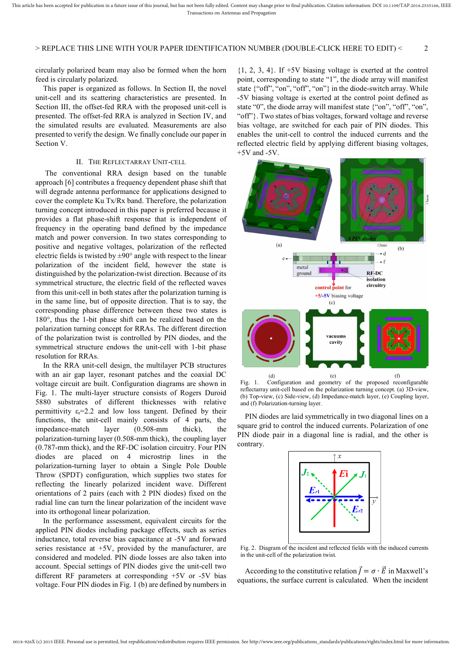circularly polarized beam may also be formed when the horn feed is circularly polarized.

This paper is organized as follows. In Section II, the novel unit-cell and its scattering characteristics are presented. In Section III, the offset-fed RRA with the proposed unit-cell is presented. The offset-fed RRA is analyzed in Section IV, and the simulated results are evaluated. Measurements are also presented to verify the design. We finally conclude our paper in Section V.

#### II. THE REFLECTARRAY UNIT-CELL

 The conventional RRA design based on the tunable approach [6] contributes a frequency dependent phase shift that will degrade antenna performance for applications designed to cover the complete Ku Tx/Rx band. Therefore, the polarization turning concept introduced in this paper is preferred because it provides a flat phase-shift response that is independent of frequency in the operating band defined by the impedance match and power conversion. In two states corresponding to positive and negative voltages, polarization of the reflected electric fields is twisted by  $\pm 90^\circ$  angle with respect to the linear polarization of the incident field, however the state is distinguished by the polarization-twist direction. Because of its symmetrical structure, the electric field of the reflected waves from this unit-cell in both states after the polarization turning is in the same line, but of opposite direction. That is to say, the corresponding phase difference between these two states is 180°, thus the 1-bit phase shift can be realized based on the polarization turning concept for RRAs. The different direction of the polarization twist is controlled by PIN diodes, and the symmetrical structure endows the unit-cell with 1-bit phase resolution for RRAs.

In the RRA unit-cell design, the multilayer PCB structures with an air gap layer, resonant patches and the coaxial DC voltage circuit are built. Configuration diagrams are shown in Fig. 1. The multi-layer structure consists of Rogers Duroid 5880 substrates of different thicknesses with relative permittivity  $\varepsilon_r = 2.2$  and low loss tangent. Defined by their functions, the unit-cell mainly consists of 4 parts, the impedance-match layer (0.508-mm thick), the polarization-turning layer (0.508-mm thick), the coupling layer (0.787-mm thick), and the RF-DC isolation circuitry. Four PIN diodes are placed on 4 microstrip lines in the polarization-turning layer to obtain a Single Pole Double Throw (SPDT) configuration, which supplies two states for reflecting the linearly polarized incident wave. Different orientations of 2 pairs (each with 2 PIN diodes) fixed on the radial line can turn the linear polarization of the incident wave into its orthogonal linear polarization.

In the performance assessment, equivalent circuits for the applied PIN diodes including package effects, such as series inductance, total reverse bias capacitance at -5V and forward series resistance at +5V, provided by the manufacturer, are considered and modeled. PIN diode losses are also taken into account. Special settings of PIN diodes give the unit-cell two different RF parameters at corresponding +5V or -5V bias voltage. Four PIN diodes in Fig. 1 (b) are defined by numbers in

 $\{1, 2, 3, 4\}$ . If  $+5V$  biasing voltage is exerted at the control point, corresponding to state "1", the diode array will manifest state {"off", "on", "off", "on"} in the diode-switch array. While -5V biasing voltage is exerted at the control point defined as state "0", the diode array will manifest state {"on", "off", "on", "off"}. Two states of bias voltages, forward voltage and reverse bias voltage, are switched for each pair of PIN diodes. This enables the unit-cell to control the induced currents and the reflected electric field by applying different biasing voltages,  $+5V$  and  $-5V$ .



Fig. 1. Configuration and geometry of the proposed reconfigurable reflectarray unit-cell based on the polarization turning concept. (a) 3D-view, (b) Top-view, (c) Side-view, (d) Impedance-match layer, (e) Coupling layer, and (f) Polarization-turning layer.

PIN diodes are laid symmetrically in two diagonal lines on a square grid to control the induced currents. Polarization of one PIN diode pair in a diagonal line is radial, and the other is contrary.



Fig. 2. Diagram of the incident and reflected fields with the induced currents in the unit-cell of the polarization twist.

According to the constitutive relation  $\vec{J} = \sigma \cdot \vec{E}$  in Maxwell's equations, the surface current is calculated. When the incident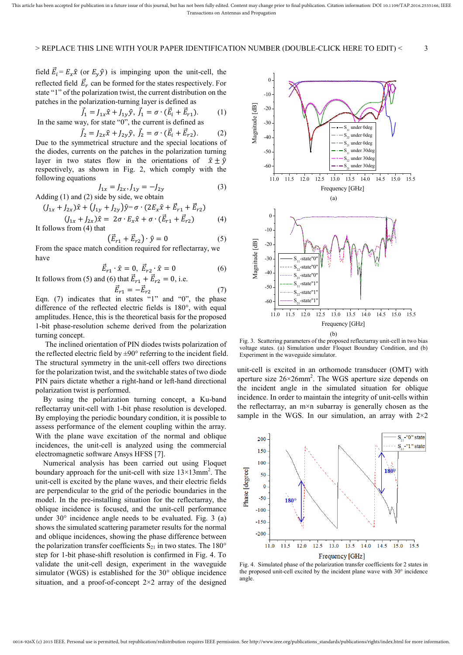field  $\vec{E}_i = E_x \hat{x}$  (or  $E_y \hat{y}$ ) is impinging upon the unit-cell, the reflected field  $\vec{E}_r$  can be formed for the states respectively. For state "1" of the polarization twist, the current distribution on the patches in the polarization-turning layer is defined as

$$
\vec{J}_1 = J_{1x}\hat{x} + J_{1y}\hat{y}, \ \vec{J}_1 = \sigma \cdot (\vec{E}_t + \vec{E}_{r1}).
$$
 (1)

In the same way, for state "0", the current is defined as

$$
\vec{J}_2 = J_{2x}\hat{x} + J_{2y}\hat{y}, \ \vec{J}_2 = \sigma \cdot (\vec{E}_i + \vec{E}_{r2}).
$$
 (2)  
Due to the symmetrical structure and the special locations of  
the diodes, currents on the patches in the polarization turning  
layer in two states flow in the orientations of  $\hat{x} \pm \hat{y}$   
respectively, as shown in Fig. 2, which comply with the  
following equations

$$
J_{1x} = J_{2x}, J_{1y} = -J_{2y}
$$
 (3)

Adding (1) and (2) side by side, we obtain

$$
(J_{1x} + J_{2x})\hat{x} + (J_{1y} + J_{2y})\hat{y} = \sigma \cdot (2E_x\hat{x} + \vec{E}_{r1} + \vec{E}_{r2})
$$

$$
(J_{1x} + J_{2x})\hat{x} = 2\sigma \cdot E_x \hat{x} + \sigma \cdot (\vec{E}_{r1} + \vec{E}_{r2})
$$
(4)  
It follows from (4) that

$$
(\vec{E}_{r1} + \vec{E}_{r2}) \cdot \hat{y} = 0 \tag{5}
$$

From the space match condition required for reflectarray, we have

$$
\vec{E}_{r1} \cdot \hat{x} = 0, \ \vec{E}_{r2} \cdot \hat{x} = 0 \tag{6}
$$

It follows from (5) and (6) that  $\vec{E}_{r1} + \vec{E}_{r2} = 0$ , i.e.

$$
\vec{E}_{r1} = -\vec{E}_{r2} \tag{7}
$$

Eqn.  $(7)$  indicates that in states "1" and "0", the phase difference of the reflected electric fields is 180°, with equal amplitudes. Hence, this is the theoretical basis for the proposed 1-bit phase-resolution scheme derived from the polarization turning concept.

 The inclined orientation of PIN diodes twists polarization of the reflected electric field by  $\pm 90^\circ$  referring to the incident field. The structural symmetry in the unit-cell offers two directions for the polarization twist, and the switchable states of two diode PIN pairs dictate whether a right-hand or left-hand directional polarization twist is performed.

By using the polarization turning concept, a Ku-band reflectarray unit-cell with 1-bit phase resolution is developed. By employing the periodic boundary condition, it is possible to assess performance of the element coupling within the array. With the plane wave excitation of the normal and oblique incidences, the unit-cell is analyzed using the commercial electromagnetic software Ansys HFSS [7].

Numerical analysis has been carried out using Floquet boundary approach for the unit-cell with size  $13\times13$ mm<sup>2</sup>. The unit-cell is excited by the plane waves, and their electric fields are perpendicular to the grid of the periodic boundaries in the model. In the pre-installing situation for the reflectarray, the oblique incidence is focused, and the unit-cell performance under 30° incidence angle needs to be evaluated. Fig. 3 (a) shows the simulated scattering parameter results for the normal and oblique incidences, showing the phase difference between the polarization transfer coefficients  $S_{21}$  in two states. The 180° step for 1-bit phase-shift resolution is confirmed in Fig. 4. To validate the unit-cell design, experiment in the waveguide simulator (WGS) is established for the 30° oblique incidence situation, and a proof-of-concept  $2\times 2$  array of the designed



Fig. 3. Scattering parameters of the proposed reflectarray unit-cell in two bias voltage states. (a) Simulation under Floquet Boundary Condition, and (b) Experiment in the waveguide simulator.

unit-cell is excited in an orthomode transducer (OMT) with aperture size  $26 \times 26$ mm<sup>2</sup>. The WGS aperture size depends on the incident angle in the simulated situation for oblique incidence. In order to maintain the integrity of unit-cells within the reflectarray, an m×n subarray is generally chosen as the sample in the WGS. In our simulation, an array with  $2\times 2$ 



Fig. 4. Simulated phase of the polarization transfer coefficients for 2 states in the proposed unit-cell excited by the incident plane wave with 30° incidence angle.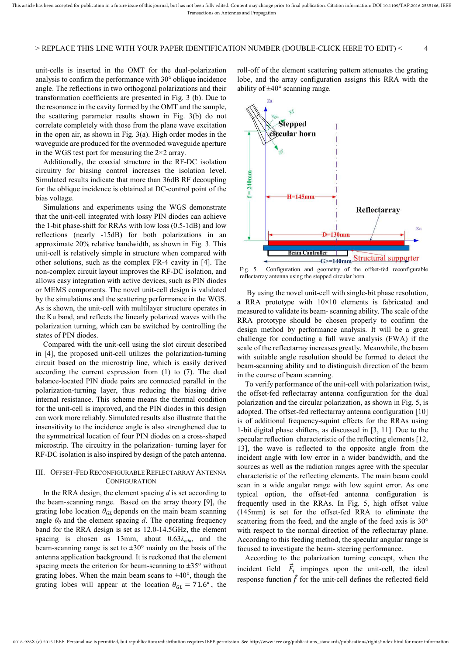unit-cells is inserted in the OMT for the dual-polarization analysis to confirm the performance with 30° oblique incidence angle. The reflections in two orthogonal polarizations and their transformation coefficients are presented in Fig. 3 (b). Due to the resonance in the cavity formed by the OMT and the sample, the scattering parameter results shown in Fig. 3(b) do not correlate completely with those from the plane wave excitation in the open air, as shown in Fig. 3(a). High order modes in the waveguide are produced for the overmoded waveguide aperture in the WGS test port for measuring the  $2\times 2$  array.

Additionally, the coaxial structure in the RF-DC isolation circuitry for biasing control increases the isolation level. Simulated results indicate that more than 36dB RF decoupling for the oblique incidence is obtained at DC-control point of the bias voltage.

Simulations and experiments using the WGS demonstrate that the unit-cell integrated with lossy PIN diodes can achieve the 1-bit phase-shift for RRAs with low loss (0.5-1dB) and low reflections (nearly -15dB) for both polarizations in an approximate 20% relative bandwidth, as shown in Fig. 3. This unit-cell is relatively simple in structure when compared with other solutions, such as the complex FR-4 cavity in [4]. The non-complex circuit layout improves the RF-DC isolation, and allows easy integration with active devices, such as PIN diodes or MEMS components. The novel unit-cell design is validated by the simulations and the scattering performance in the WGS. As is shown, the unit-cell with multilayer structure operates in the Ku band, and reflects the linearly polarized waves with the polarization turning, which can be switched by controlling the states of PIN diodes.

Compared with the unit-cell using the slot circuit described in [4], the proposed unit-cell utilizes the polarization-turning circuit based on the microstrip line, which is easily derived according the current expression from (1) to (7). The dual balance-located PIN diode pairs are connected parallel in the polarization-turning layer, thus reducing the biasing drive internal resistance. This scheme means the thermal condition for the unit-cell is improved, and the PIN diodes in this design can work more reliably. Simulated results also illustrate that the insensitivity to the incidence angle is also strengthened due to the symmetrical location of four PIN diodes on a cross-shaped microstrip. The circuitry in the polarization- turning layer for RF-DC isolation is also inspired by design of the patch antenna.

#### III. OFFSET-FED RECONFIGURABLE REFLECTARRAY ANTENNA **CONFIGURATION**

In the RRA design, the element spacing *d* is set according to the beam-scanning range. Based on the array theory [9], the grating lobe location *θGL* depends on the main beam scanning angle  $\theta$ <sup>0</sup> and the element spacing *d*. The operating frequency band for the RRA design is set as 12.0-14.5GHz, the element spacing is chosen as 13mm, about 0.63*λmin*, and the beam-scanning range is set to  $\pm 30^{\circ}$  mainly on the basis of the antenna application background. It is reckoned that the element spacing meets the criterion for beam-scanning to  $\pm 35^{\circ}$  without grating lobes. When the main beam scans to  $\pm 40^{\circ}$ , though the grating lobes will appear at the location  $\theta_{GL} = 71.6^{\circ}$ , the

roll-off of the element scattering pattern attenuates the grating lobe, and the array configuration assigns this RRA with the ability of  $\pm 40^{\circ}$  scanning range.



Fig. 5. Configuration and geometry of the offset-fed reconfigurable reflectarray antenna using the stepped circular horn.

 By using the novel unit-cell with single-bit phase resolution, a RRA prototype with 10×10 elements is fabricated and measured to validate its beam- scanning ability. The scale of the RRA prototype should be chosen properly to confirm the design method by performance analysis. It will be a great challenge for conducting a full wave analysis (FWA) if the scale of the reflectarray increases greatly. Meanwhile, the beam with suitable angle resolution should be formed to detect the beam-scanning ability and to distinguish direction of the beam in the course of beam scanning.

To verify performance of the unit-cell with polarization twist, the offset-fed reflectarray antenna configuration for the dual polarization and the circular polarization, as shown in Fig. 5, is adopted. The offset-fed reflectarray antenna configuration [10] is of additional frequency-squint effects for the RRAs using 1-bit digital phase shifters, as discussed in [3, 11]. Due to the specular reflection characteristic of the reflecting elements [12, 13], the wave is reflected to the opposite angle from the incident angle with low error in a wider bandwidth, and the sources as well as the radiation ranges agree with the specular characteristic of the reflecting elements. The main beam could scan in a wide angular range with low squint error. As one typical option, the offset-fed antenna configuration is frequently used in the RRAs. In Fig. 5, high offset value (145mm) is set for the offset-fed RRA to eliminate the scattering from the feed, and the angle of the feed axis is 30° with respect to the normal direction of the reflectarray plane. According to this feeding method, the specular angular range is focused to investigate the beam- steering performance.

According to the polarization turning concept, when the incident field  $\vec{E}_i$  impinges upon the unit-cell, the ideal response function  $\vec{f}$  for the unit-cell defines the reflected field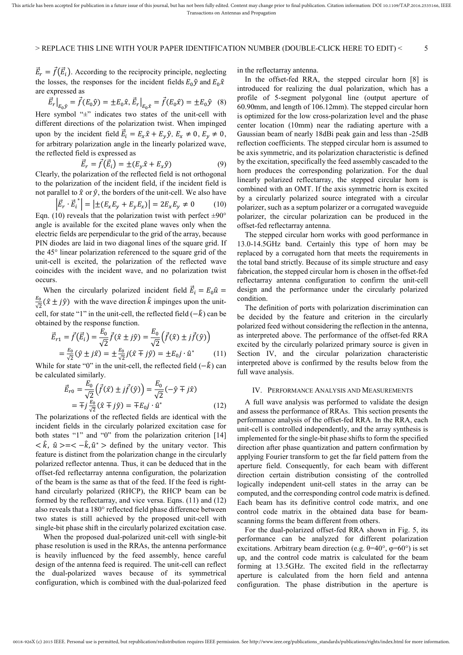$\vec{E}_r = \vec{f}(\vec{E}_i)$ . According to the reciprocity principle, neglecting the losses, the responses for the incident fields  $E_0 \hat{y}$  and  $E_0 \hat{x}$ are expressed as

$$
\vec{E}_r\big|_{E_0\hat{y}} = \vec{f}(E_0\hat{y}) = \pm E_0\hat{x}, \vec{E}_r\big|_{E_0\hat{x}} = \vec{f}(E_0\hat{x}) = \pm E_0\hat{y} \quad (8)
$$

Here symbol "±" indicates two states of the unit-cell with different directions of the polarization twist. When impinged upon by the incident field  $\vec{E}_i = E_x \hat{x} + E_y \hat{y}$ ,  $E_x \neq 0$ ,  $E_y \neq 0$ , for arbitrary polarization angle in the linearly polarized wave, the reflected field is expressed as

$$
\vec{E}_r = \vec{f}(\vec{E}_i) = \pm (E_y \hat{x} + E_x \hat{y})
$$
(9)

Clearly, the polarization of the reflected field is not orthogonal to the polarization of the incident field, if the incident field is not parallel to  $\hat{x}$  or  $\hat{y}$ , the borders of the unit-cell. We also have

$$
\left| \vec{E}_r \cdot \vec{E}_i^* \right| = \left| \pm (E_x E_y + E_y E_x) \right| = 2E_x E_y \neq 0 \tag{10}
$$

Eqn. (10) reveals that the polarization twist with perfect  $\pm 90^\circ$ angle is available for the excited plane waves only when the electric fields are perpendicular to the grid of the array, because PIN diodes are laid in two diagonal lines of the square grid. If the 45° linear polarization referenced to the square grid of the unit-cell is excited, the polarization of the reflected wave coincides with the incident wave, and no polarization twist occurs.

When the circularly polarized incident field  $\vec{E}_i = E_0 \hat{u}$  $E_{\mathbf{0}}$  $\frac{\mu_0}{\sqrt{2}}(\hat{x} \pm j\hat{y})$  with the wave direction  $\hat{k}$  impinges upon the unitcell, for state "1" in the unit-cell, the reflected field  $(-\hat{k})$  can be obtained by the response function.

$$
\vec{E}_{r1} = \vec{f}(\vec{E}_i) = \frac{E_0}{\sqrt{2}} \vec{f}(\hat{x} \pm j\hat{y}) = \frac{E_0}{\sqrt{2}} (\vec{f}(\hat{x}) \pm j\vec{f}(\hat{y})) \n= \frac{E_0}{\sqrt{2}} (\hat{y} \pm j\hat{x}) = \pm \frac{E_0}{\sqrt{2}} j(\hat{x} \mp j\hat{y}) = \pm E_0 j \cdot \hat{u}^*
$$
\n(11)

While for state "0" in the unit-cell, the reflected field  $(-\hat{k})$  can be calculated similarly.

$$
\vec{E}_{r0} = \frac{E_0}{\sqrt{2}} \left( \vec{f}(\hat{x}) \pm j \vec{f}(\hat{y}) \right) = \frac{E_0}{\sqrt{2}} (-\hat{y} \mp j\hat{x}) \n= \mp j \frac{E_0}{\sqrt{2}} (\hat{x} \mp j\hat{y}) = \mp E_0 j \cdot \hat{u}^*
$$
\n(12)

The polarizations of the reflected fields are identical with the incident fields in the circularly polarized excitation case for both states "1" and "0" from the polarization criterion [14]  $\langle \hat{k}, \hat{u} \rangle = \langle -\hat{k}, \hat{u}^* \rangle$  defined by the unitary vector. This feature is distinct from the polarization change in the circularly polarized reflector antenna. Thus, it can be deduced that in the offset-fed reflectarray antenna configuration, the polarization of the beam is the same as that of the feed. If the feed is righthand circularly polarized (RHCP), the RHCP beam can be formed by the reflectarray, and vice versa. Eqns. (11) and (12) also reveals that a 180° reflected field phase difference between two states is still achieved by the proposed unit-cell with single-bit phase shift in the circularly polarized excitation case.

When the proposed dual-polarized unit-cell with single-bit phase resolution is used in the RRAs, the antenna performance is heavily influenced by the feed assembly, hence careful design of the antenna feed is required. The unit-cell can reflect the dual-polarized waves because of its symmetrical configuration, which is combined with the dual-polarized feed in the reflectarray antenna.

In the offset-fed RRA, the stepped circular horn [8] is introduced for realizing the dual polarization, which has a profile of 5-segment polygonal line (output aperture of 60.90mm, and length of 106.12mm). The stepped circular horn is optimized for the low cross-polarization level and the phase center location (10mm) near the radiating aperture with a Gaussian beam of nearly 18dBi peak gain and less than -25dB reflection coefficients. The stepped circular horn is assumed to be axis symmetric, and its polarization characteristic is defined by the excitation, specifically the feed assembly cascaded to the horn produces the corresponding polarization. For the dual linearly polarized reflectarray, the stepped circular horn is combined with an OMT. If the axis symmetric horn is excited by a circularly polarized source integrated with a circular polarizer, such as a septum polarizer or a corrugated waveguide polarizer, the circular polarization can be produced in the offset-fed reflectarray antenna.

The stepped circular horn works with good performance in 13.0-14.5GHz band. Certainly this type of horn may be replaced by a corrugated horn that meets the requirements in the total band strictly. Because of its simple structure and easy fabrication, the stepped circular horn is chosen in the offset-fed reflectarray antenna configuration to confirm the unit-cell design and the performance under the circularly polarized condition.

The definition of ports with polarization discrimination can be decided by the feature and criterion in the circularly polarized feed without considering the reflection in the antenna, as interpreted above. The performance of the offset-fed RRA excited by the circularly polarized primary source is given in Section IV, and the circular polarization characteristic interpreted above is confirmed by the results below from the full wave analysis.

#### IV. PERFORMANCE ANALYSIS AND MEASUREMENTS

A full wave analysis was performed to validate the design and assess the performance of RRAs. This section presents the performance analysis of the offset-fed RRA. In the RRA, each unit-cell is controlled independently, and the array synthesis is implemented for the single-bit phase shifts to form the specified direction after phase quantization and pattern confirmation by applying Fourier transform to get the far field pattern from the aperture field. Consequently, for each beam with different direction certain distribution consisting of the controlled logically independent unit-cell states in the array can be computed, and the corresponding control code matrix is defined. Each beam has its definitive control code matrix, and one control code matrix in the obtained data base for beamscanning forms the beam different from others.

For the dual-polarized offset-fed RRA shown in Fig. 5, its performance can be analyzed for different polarization excitations. Arbitrary beam direction (e.g.  $\theta = 40^{\circ}$ ,  $\varphi = 60^{\circ}$ ) is set up, and the control code matrix is calculated for the beam forming at 13.5GHz. The excited field in the reflectarray aperture is calculated from the horn field and antenna configuration. The phase distribution in the aperture is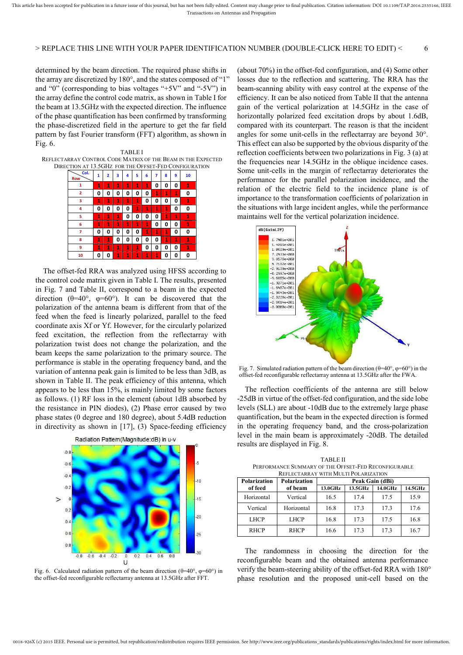determined by the beam direction. The required phase shifts in the array are discretized by 180°, and the states composed of "1" and "0" (corresponding to bias voltages "+5V" and "-5V") in the array define the control code matrix, as shown in Table I for the beam at 13.5GHz with the expected direction. The influence of the phase quantification has been confirmed by transforming the phase-discretized field in the aperture to get the far field pattern by fast Fourier transform (FFT) algorithm, as shown in Fig. 6.

TABLE I REFLECTARRAY CONTROL CODE MATRIX OF THE BEAM IN THE EXPECTED DIRECTION AT 13.5GHZ FOR THE OFFSET-FED CONFIGURATION **Col. Row <sup>1</sup> <sup>2</sup> <sup>3</sup> <sup>4</sup> <sup>5</sup> <sup>6</sup> <sup>7</sup> <sup>8</sup> <sup>9</sup> <sup>10</sup> 1 1 1 1 1 1 0 0 0 1 0 0 0 0 0 0 1 1 1 0 1 1 1 1 1 0 0 0 0 1 0 0 0 0 1 1 1 1 0 0 1 1 1 0 0 0 0 1 1 1 1 1 1 1 1 1 0 0 0 1 0 0 0 0 0 1 1 1 0 0 1 1 0 0 0 0 0 1 1 1 1 1 1 1 1 0 0 0 0 1 0 0 1 1 1 1 1 0 0 0**

The offset-fed RRA was analyzed using HFSS according to the control code matrix given in Table I. The results, presented in Fig. 7 and Table II, correspond to a beam in the expected direction ( $\theta$ =40°,  $\varphi$ =60°). It can be discovered that the polarization of the antenna beam is different from that of the feed when the feed is linearly polarized, parallel to the feed coordinate axis Xf or Yf. However, for the circularly polarized feed excitation, the reflection from the reflectarray with polarization twist does not change the polarization, and the beam keeps the same polarization to the primary source. The performance is stable in the operating frequency band, and the variation of antenna peak gain is limited to be less than 3dB, as shown in Table II. The peak efficiency of this antenna, which appears to be less than 15%, is mainly limited by some factors as follows. (1) RF loss in the element (about 1dB absorbed by the resistance in PIN diodes), (2) Phase error caused by two phase states (0 degree and 180 degree), about 5.4dB reduction in directivity as shown in [17], (3) Space-feeding efficiency



Fig. 6. Calculated radiation pattern of the beam direction ( $\theta$ =40°,  $\varphi$ =60°) in the offset-fed reconfigurable reflectarray antenna at 13.5GHz after FFT.

(about 70%) in the offset-fed configuration, and (4) Some other losses due to the reflection and scattering. The RRA has the beam-scanning ability with easy control at the expense of the efficiency. It can be also noticed from Table II that the antenna gain of the vertical polarization at 14.5GHz in the case of horizontally polarized feed excitation drops by about 1.6dB, compared with its counterpart. The reason is that the incident angles for some unit-cells in the reflectarray are beyond 30°. This effect can also be supported by the obvious disparity of the reflection coefficients between two polarizations in Fig. 3 (a) at the frequencies near 14.5GHz in the oblique incidence cases. Some unit-cells in the margin of reflectarray deteriorates the performance for the parallel polarization incidence, and the relation of the electric field to the incidence plane is of importance to the transformation coefficients of polarization in the situations with large incident angles, while the performance maintains well for the vertical polarization incidence.



Fig. 7. Simulated radiation pattern of the beam direction ( $\theta$ =40°,  $\varphi$ =60°) in the offset-fed reconfigurable reflectarray antenna at 13.5GHz after the FWA.

The reflection coefficients of the antenna are still below -25dB in virtue of the offset-fed configuration, and the side lobe levels (SLL) are about -10dB due to the extremely large phase quantification, but the beam in the expected direction is formed in the operating frequency band, and the cross-polarization level in the main beam is approximately -20dB. The detailed results are displayed in Fig. 8.

TABLE II PERFORMANCE SUMMARY OF THE OFFSET-FED RECONFIGURABLE

| REFLECTARRAY WITH MULTI POLARIZATION |                     |                 |         |         |         |
|--------------------------------------|---------------------|-----------------|---------|---------|---------|
| <b>Polarization</b>                  | <b>Polarization</b> | Peak Gain (dBi) |         |         |         |
| of feed                              | of beam             | 13.0GHz         | 13.5GHz | 14.0GHz | 14.5GHz |
| Horizontal                           | Vertical            | 16.5            | 17.4    | 17.5    | 15.9    |
| Vertical                             | Horizontal          | 16.8            | 17.3    | 17.3    | 17.6    |
| <b>LHCP</b>                          | <b>LHCP</b>         | 16.8            | 17.3    | 17.5    | 16.8    |
| <b>RHCP</b>                          | <b>RHCP</b>         | 16.6            | 17.3    | 17.3    | 16.7    |

The randomness in choosing the direction for the reconfigurable beam and the obtained antenna performance verify the beam-steering ability of the offset-fed RRA with 180° phase resolution and the proposed unit-cell based on the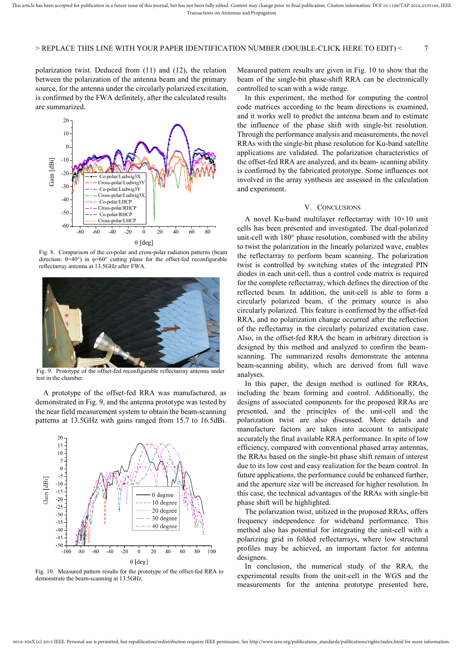polarization twist. Deduced from (11) and (12), the relation between the polarization of the antenna beam and the primary source, for the antenna under the circularly polarized excitation, is confirmed by the FWA definitely, after the calculated results are summarized.



Fig. 8. Comparison of the co-polar and cross-polar radiation patterns (beam direction:  $θ=40°$ ) in  $φ=60°$  cutting plane for the offset-fed reconfigurable reflectarray antenna at 13.5GHz after FWA.



Fig. 9. Prototype of the offset-fed reconfigurable reflectarray antenna under test in the chamber.

A prototype of the offset-fed RRA was manufactured, as demonstrated in Fig. 9, and the antenna prototype was tested by the near field measurement system to obtain the beam-scanning patterns at 13.5GHz with gains ranged from 15.7 to 16.5dBi.



Fig. 10. Measured pattern results for the prototype of the offset-fed RRA to demonstrate the beam-scanning at 13.5GHz.

Measured pattern results are given in Fig. 10 to show that the beam of the single-bit phase-shift RRA can be electronically controlled to scan with a wide range.

In this experiment, the method for computing the control code matrices according to the beam directions is examined, and it works well to predict the antenna beam and to estimate the influence of the phase shift with single-bit resolution. Through the performance analysis and measurements, the novel RRAs with the single-bit phase resolution for Ku-band satellite applications are validated. The polarization characteristics of the offset-fed RRA are analyzed, and its beam- scanning ability is confirmed by the fabricated prototype. Some influences not involved in the array synthesis are assessed in the calculation and experiment.

#### V. CONCLUSIONS

A novel Ku-band multilayer reflectarray with 10×10 unit cells has been presented and investigated. The dual-polarized unit-cell with 180° phase resolution, combined with the ability to twist the polarization in the linearly polarized wave, enables the reflectarray to perform beam scanning. The polarization twist is controlled by switching states of the integrated PIN diodes in each unit-cell, thus a control code matrix is required for the complete reflectarray, which defines the direction of the reflected beam. In addition, the unit-cell is able to form a circularly polarized beam, if the primary source is also circularly polarized. This feature is confirmed by the offset-fed RRA, and no polarization change occurred after the reflection of the reflectarray in the circularly polarized excitation case. Also, in the offset-fed RRA the beam in arbitrary direction is designed by this method and analyzed to confirm the beamscanning. The summarized results demonstrate the antenna beam-scanning ability, which are derived from full wave analyses.

In this paper, the design method is outlined for RRAs, including the beam forming and control. Additionally, the designs of associated components for the proposed RRAs are presented, and the principles of the unit-cell and the polarization twist are also discussed. More details and manufacture factors are taken into account to anticipate accurately the final available RRA performance. In spite of low efficiency, compared with conventional phased array antennas, the RRAs based on the single-bit phase shift remain of interest due to its low cost and easy realization for the beam control. In future applications, the performance could be enhanced further, and the aperture size will be increased for higher resolution. In this case, the technical advantages of the RRAs with single-bit phase shift will be highlighted.

The polarization twist, utilized in the proposed RRAs, offers frequency independence for wideband performance. This method also has potential for integrating the unit-cell with a polarizing grid in folded reflectarrays, where low structural profiles may be achieved, an important factor for antenna designers.

In conclusion, the numerical study of the RRA, the experimental results from the unit-cell in the WGS and the measurements for the antenna prototype presented here,